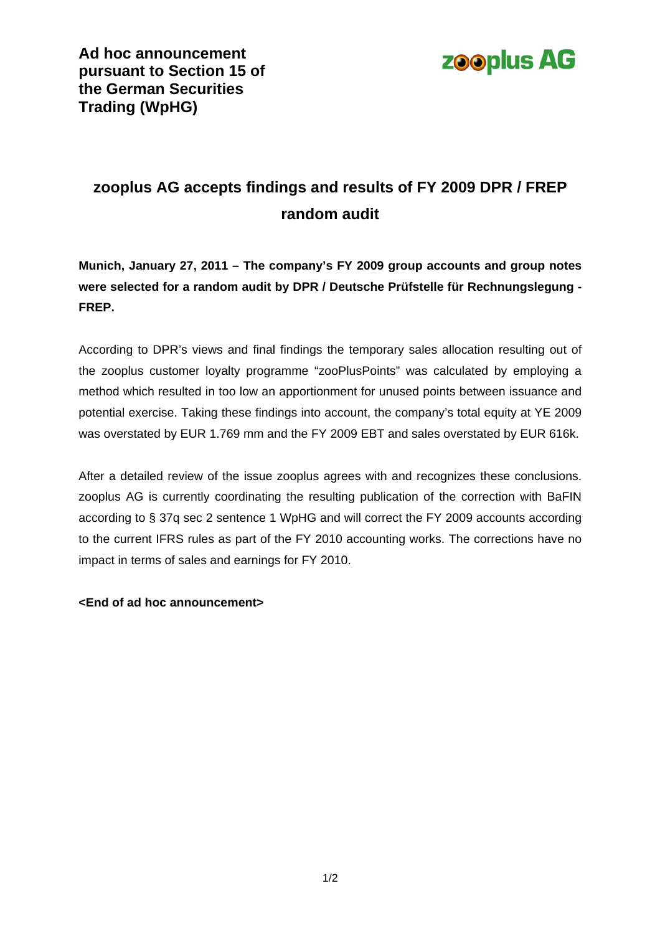

## **zooplus AG accepts findings and results of FY 2009 DPR / FREP random audit**

**Munich, January 27, 2011 – The company's FY 2009 group accounts and group notes were selected for a random audit by DPR / Deutsche Prüfstelle für Rechnungslegung - FREP.** 

According to DPR's views and final findings the temporary sales allocation resulting out of the zooplus customer loyalty programme "zooPlusPoints" was calculated by employing a method which resulted in too low an apportionment for unused points between issuance and potential exercise. Taking these findings into account, the company's total equity at YE 2009 was overstated by EUR 1.769 mm and the FY 2009 EBT and sales overstated by EUR 616k.

After a detailed review of the issue zooplus agrees with and recognizes these conclusions. zooplus AG is currently coordinating the resulting publication of the correction with BaFIN according to § 37q sec 2 sentence 1 WpHG and will correct the FY 2009 accounts according to the current IFRS rules as part of the FY 2010 accounting works. The corrections have no impact in terms of sales and earnings for FY 2010.

## **<End of ad hoc announcement>**